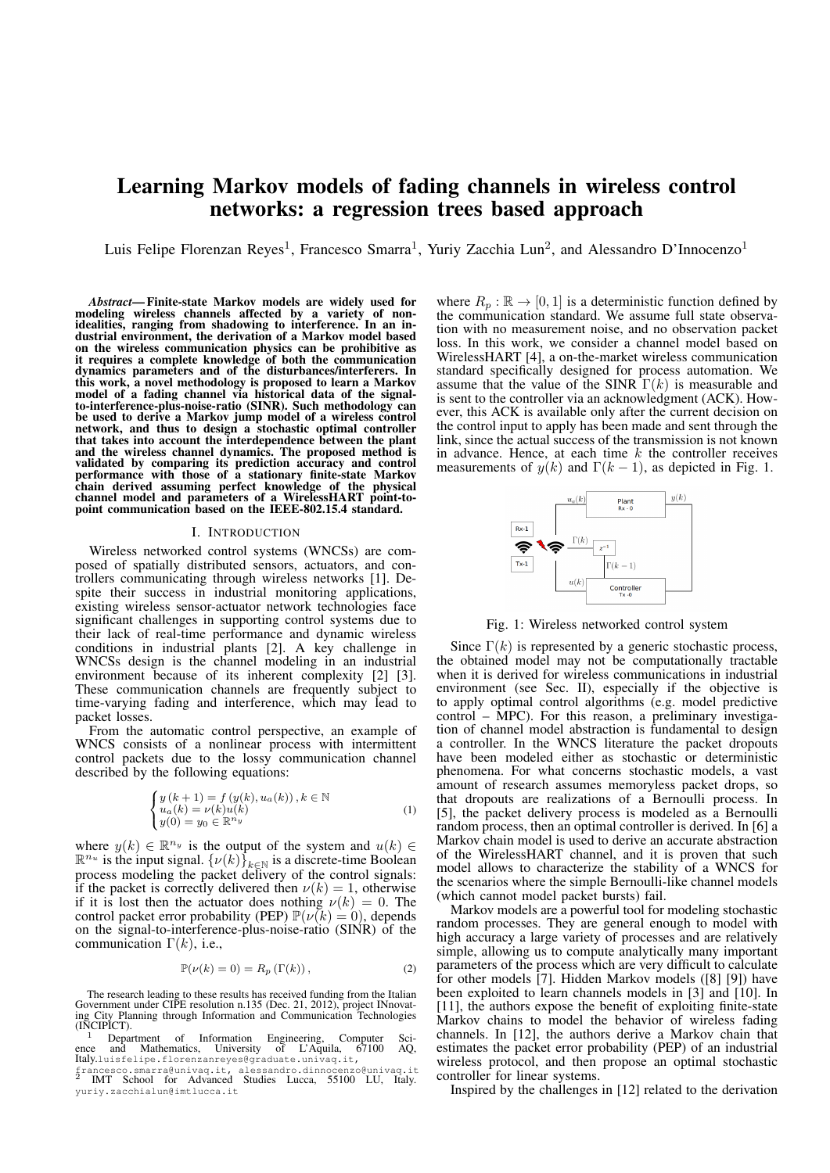# Learning Markov models of fading channels in wireless control networks: a regression trees based approach

Luis Felipe Florenzan Reyes<sup>1</sup>, Francesco Smarra<sup>1</sup>, Yuriy Zacchia Lun<sup>2</sup>, and Alessandro D'Innocenzo<sup>1</sup>

*Abstract*— Finite-state Markov models are widely used for modeling wireless channels affected by a variety of nonidealities, ranging from shadowing to interference. In an industrial environment, the derivation of a Markov model based on the wireless communication physics can be prohibitive as it requires a complete knowledge of both the communication dynamics parameters and of the disturbances/interferers. In this work, a novel methodology is proposed to learn a Markov model of a fading channel via historical data of the signalto-interference-plus-noise-ratio (SINR). Such methodology can be used to derive a Markov jump model of a wireless control network, and thus to design a stochastic optimal controller that takes into account the interdependence between the plant and the wireless channel dynamics. The proposed method is validated by comparing its prediction accuracy and control performance with those of a stationary finite-state Markov chain derived assuming perfect knowledge of the physical channel model and parameters of a WirelessHART point-topoint communication based on the IEEE-802.15.4 standard.

### I. INTRODUCTION

Wireless networked control systems (WNCSs) are composed of spatially distributed sensors, actuators, and controllers communicating through wireless networks [1]. Despite their success in industrial monitoring applications, existing wireless sensor-actuator network technologies face significant challenges in supporting control systems due to their lack of real-time performance and dynamic wireless conditions in industrial plants [2]. A key challenge in WNCSs design is the channel modeling in an industrial environment because of its inherent complexity [2] [3]. These communication channels are frequently subject to time-varying fading and interference, which may lead to packet losses.

From the automatic control perspective, an example of WNCS consists of a nonlinear process with intermittent control packets due to the lossy communication channel described by the following equations:

$$
\begin{cases} y(k+1) = f(y(k), u_a(k)), k \in \mathbb{N} \\ u_a(k) = \nu(k)u(k) \\ y(0) = y_0 \in \mathbb{R}^{n_y} \end{cases}
$$
 (1)

where  $y(k) \in \mathbb{R}^{n_y}$  is the output of the system and  $u(k) \in$  $\mathbb{R}^{n_u}$  is the input signal.  $\{\nu(k)\}_{k\in\mathbb{N}}$  is a discrete-time Boolean process modeling the packet delivery of the control signals: if the packet is correctly delivered then  $\nu(k) = 1$ , otherwise if it is lost then the actuator does nothing  $\nu(k) = 0$ . The control packet error probability (PEP)  $\mathbb{P}(\nu(k) = 0)$ , depends on the signal-to-interference-plus-noise-ratio (SINR) of the communication  $\Gamma(k)$ , i.e.,

$$
\mathbb{P}(\nu(k) = 0) = R_p(\Gamma(k)),\tag{2}
$$

The research leading to these results has received funding from the Italian Government under CIPE resolution n.135 (Dec. 21, 2012), project INnovating City Planning through Information and Communication Technologies (INCIPICT).

<sup>1</sup> Department of Information Engineering, Computer Sci-<br>ence and Mathematics, University of L'Aquila, 67100 AQ,<br>Italy.luisfelipe.florenzanreyes@graduate.univaq.it,

francesco.smarra@univaq.it, alessandro.dinnocenzo@univaq.it<br><sup>2</sup> IMT School for Advanced Studies Lucca, 55100 LU, Italy.<br>yuriy.zacchialun@imtlucca.it

where  $R_p : \mathbb{R} \to [0, 1]$  is a deterministic function defined by the communication standard. We assume full state observation with no measurement noise, and no observation packet loss. In this work, we consider a channel model based on WirelessHART [4], a on-the-market wireless communication standard specifically designed for process automation. We assume that the value of the SINR  $\Gamma(k)$  is measurable and is sent to the controller via an acknowledgment (ACK). However, this ACK is available only after the current decision on the control input to apply has been made and sent through the link, since the actual success of the transmission is not known in advance. Hence, at each time  $k$  the controller receives measurements of  $y(k)$  and  $\Gamma(k-1)$ , as depicted in Fig. 1.



Fig. 1: Wireless networked control system

Since  $\Gamma(k)$  is represented by a generic stochastic process, the obtained model may not be computationally tractable when it is derived for wireless communications in industrial environment (see Sec. II), especially if the objective is to apply optimal control algorithms (e.g. model predictive control – MPC). For this reason, a preliminary investigation of channel model abstraction is fundamental to design a controller. In the WNCS literature the packet dropouts have been modeled either as stochastic or deterministic phenomena. For what concerns stochastic models, a vast amount of research assumes memoryless packet drops, so that dropouts are realizations of a Bernoulli process. In [5], the packet delivery process is modeled as a Bernoulli random process, then an optimal controller is derived. In [6] a Markov chain model is used to derive an accurate abstraction of the WirelessHART channel, and it is proven that such model allows to characterize the stability of a WNCS for the scenarios where the simple Bernoulli-like channel models (which cannot model packet bursts) fail.

Markov models are a powerful tool for modeling stochastic random processes. They are general enough to model with high accuracy a large variety of processes and are relatively simple, allowing us to compute analytically many important parameters of the process which are very difficult to calculate for other models [7]. Hidden Markov models ([8] [9]) have been exploited to learn channels models in [3] and [10]. In [11], the authors expose the benefit of exploiting finite-state Markov chains to model the behavior of wireless fading channels. In [12], the authors derive a Markov chain that estimates the packet error probability (PEP) of an industrial wireless protocol, and then propose an optimal stochastic controller for linear systems.

Inspired by the challenges in [12] related to the derivation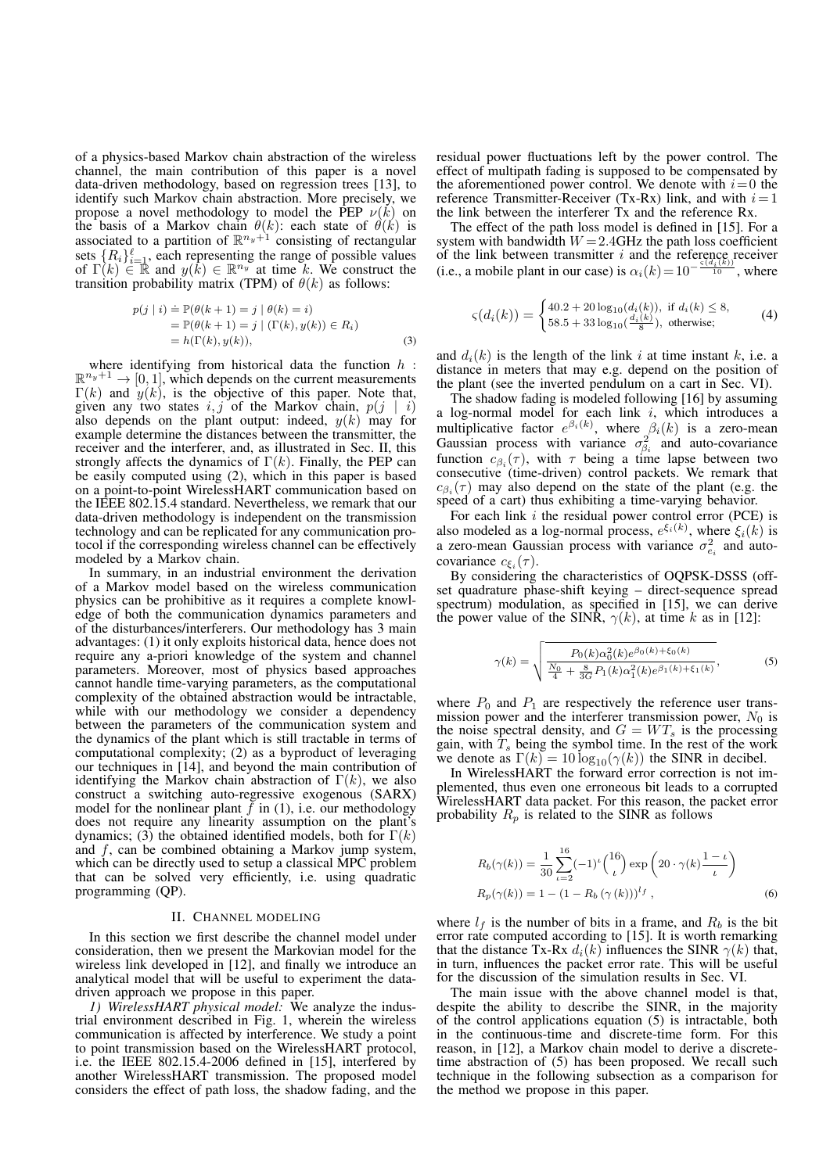of a physics-based Markov chain abstraction of the wireless channel, the main contribution of this paper is a novel data-driven methodology, based on regression trees [13], to identify such Markov chain abstraction. More precisely, we propose a novel methodology to model the PEP  $\nu(k)$  on the basis of a Markov chain  $\theta(k)$ : each state of  $\theta(k)$  is associated to a partition of  $\mathbb{R}^{n_y+1}$  consisting of rectangular sets  $\{R_i\}_{i=1}^{\ell}$ , each representing the range of possible values of  $\Gamma(k) \in \mathbb{R}$  and  $y(k) \in \mathbb{R}^{n_y}$  at time k. We construct the transition probability matrix (TPM) of  $\theta(k)$  as follows:

$$
p(j \mid i) \stackrel{\cdot}{=} \mathbb{P}(\theta(k+1) = j \mid \theta(k) = i)
$$
  
\n
$$
= \mathbb{P}(\theta(k+1) = j \mid (\Gamma(k), y(k)) \in R_i)
$$
  
\n
$$
= h(\Gamma(k), y(k)), \tag{3}
$$

where identifying from historical data the function  $h$ :  $\mathbb{R}^{n_y+1} \rightarrow [0,1]$ , which depends on the current measurements  $\Gamma(k)$  and  $y(k)$ , is the objective of this paper. Note that, given any two states  $i, j$  of the Markov chain,  $p(j \mid i)$ also depends on the plant output: indeed,  $y(k)$  may for example determine the distances between the transmitter, the receiver and the interferer, and, as illustrated in Sec. II, this strongly affects the dynamics of  $\Gamma(k)$ . Finally, the PEP can be easily computed using (2), which in this paper is based on a point-to-point WirelessHART communication based on the IEEE 802.15.4 standard. Nevertheless, we remark that our data-driven methodology is independent on the transmission technology and can be replicated for any communication protocol if the corresponding wireless channel can be effectively modeled by a Markov chain.

In summary, in an industrial environment the derivation of a Markov model based on the wireless communication physics can be prohibitive as it requires a complete knowledge of both the communication dynamics parameters and of the disturbances/interferers. Our methodology has 3 main advantages: (1) it only exploits historical data, hence does not require any a-priori knowledge of the system and channel parameters. Moreover, most of physics based approaches cannot handle time-varying parameters, as the computational complexity of the obtained abstraction would be intractable, while with our methodology we consider a dependency between the parameters of the communication system and the dynamics of the plant which is still tractable in terms of computational complexity; (2) as a byproduct of leveraging our techniques in [14], and beyond the main contribution of identifying the Markov chain abstraction of  $\Gamma(k)$ , we also construct a switching auto-regressive exogenous (SARX) model for the nonlinear plant  $f$  in (1), i.e. our methodology does not require any linearity assumption on the plant's dynamics; (3) the obtained identified models, both for  $\Gamma(k)$ and  $f$ , can be combined obtaining a Markov jump system, which can be directly used to setup a classical MPC problem that can be solved very efficiently, i.e. using quadratic programming (QP).

#### II. CHANNEL MODELING

In this section we first describe the channel model under consideration, then we present the Markovian model for the wireless link developed in [12], and finally we introduce an analytical model that will be useful to experiment the datadriven approach we propose in this paper.

*1) WirelessHART physical model:* We analyze the industrial environment described in Fig. 1, wherein the wireless communication is affected by interference. We study a point to point transmission based on the WirelessHART protocol, i.e. the IEEE 802.15.4-2006 defined in [15], interfered by another WirelessHART transmission. The proposed model considers the effect of path loss, the shadow fading, and the

residual power fluctuations left by the power control. The effect of multipath fading is supposed to be compensated by the aforementioned power control. We denote with  $i=0$  the reference Transmitter-Receiver (Tx-Rx) link, and with  $i=1$ the link between the interferer Tx and the reference Rx.

The effect of the path loss model is defined in [15]. For a system with bandwidth  $W = 2.4$ GHz the path loss coefficient of the link between transmitter i and the reference receiver (i.e., a mobile plant in our case) is  $\alpha_i(k) = 10^{-\frac{\varsigma(d_i(k))}{10}}$ , where

$$
\varsigma(d_i(k)) = \begin{cases} 40.2 + 20 \log_{10}(d_i(k)), \text{ if } d_i(k) \le 8, \\ 58.5 + 33 \log_{10}(\frac{d_i(k)}{8}), \text{ otherwise;} \end{cases}
$$
 (4)

and  $d_i(k)$  is the length of the link i at time instant k, i.e. a distance in meters that may e.g. depend on the position of the plant (see the inverted pendulum on a cart in Sec. VI).

The shadow fading is modeled following [16] by assuming a log-normal model for each link  $i$ , which introduces a multiplicative factor  $e^{\beta_i(k)}$ , where  $\beta_i(k)$  is a zero-mean Gaussian process with variance  $\sigma_{\beta_i}^2$  and auto-covariance function  $c_{\beta_i}(\tau)$ , with  $\tau$  being a time lapse between two consecutive (time-driven) control packets. We remark that  $c_{\beta_i}(\tau)$  may also depend on the state of the plant (e.g. the speed of a cart) thus exhibiting a time-varying behavior.

For each link  $i$  the residual power control error (PCE) is also modeled as a log-normal process,  $e^{\xi_i(k)}$ , where  $\xi_i(k)$  is a zero-mean Gaussian process with variance  $\sigma_{e_i}^2$  and autocovariance  $c_{\xi_i}(\tau)$ .

By considering the characteristics of OQPSK-DSSS (offset quadrature phase-shift keying – direct-sequence spread spectrum) modulation, as specified in [15], we can derive the power value of the SINR,  $\gamma(k)$ , at time k as in [12]:

$$
\gamma(k) = \sqrt{\frac{P_0(k)\alpha_0^2(k)e^{\beta_0(k) + \xi_0(k)}}{\frac{N_0}{4} + \frac{8}{3G}P_1(k)\alpha_1^2(k)e^{\beta_1(k) + \xi_1(k)}},\tag{5}
$$

where  $P_0$  and  $P_1$  are respectively the reference user transmission power and the interferer transmission power,  $N_0$  is the noise spectral density, and  $G = WT<sub>s</sub>$  is the processing gain, with  $T_s$  being the symbol time. In the rest of the work we denote as  $\Gamma(k) = 10 \log_{10}(\gamma(k))$  the SINR in decibel.

In WirelessHART the forward error correction is not implemented, thus even one erroneous bit leads to a corrupted WirelessHART data packet. For this reason, the packet error probability  $R_p$  is related to the SINR as follows

$$
R_b(\gamma(k)) = \frac{1}{30} \sum_{\iota=2}^{16} (-1)^{\iota} {16 \choose \iota} \exp\left(20 \cdot \gamma(k) \frac{1-\iota}{\iota}\right)
$$
  
\n
$$
R_p(\gamma(k)) = 1 - (1 - R_b(\gamma(k)))^{l_f},
$$
\n(6)

where  $l_f$  is the number of bits in a frame, and  $R_b$  is the bit error rate computed according to [15]. It is worth remarking that the distance Tx-Rx  $d_i(k)$  influences the SINR  $\gamma(k)$  that, in turn, influences the packet error rate. This will be useful for the discussion of the simulation results in Sec. VI.

The main issue with the above channel model is that, despite the ability to describe the SINR, in the majority of the control applications equation (5) is intractable, both in the continuous-time and discrete-time form. For this reason, in [12], a Markov chain model to derive a discretetime abstraction of (5) has been proposed. We recall such technique in the following subsection as a comparison for the method we propose in this paper.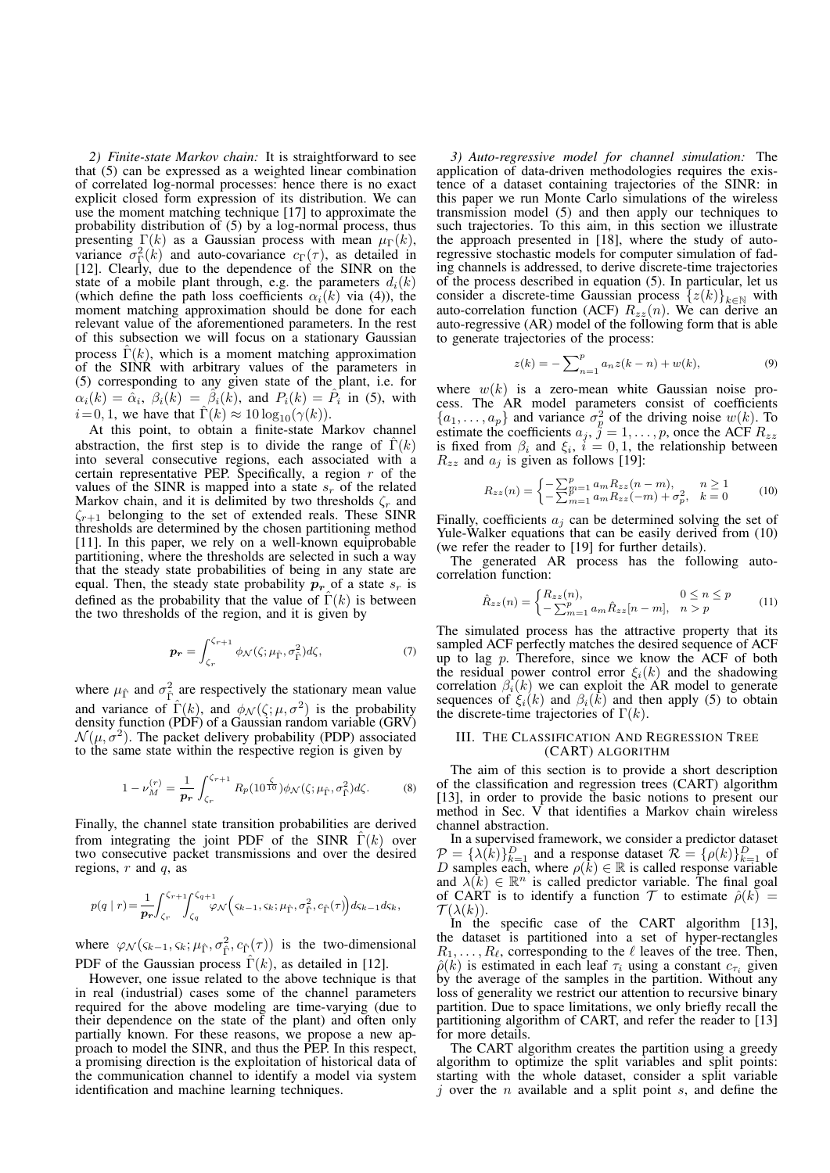*2) Finite-state Markov chain:* It is straightforward to see that (5) can be expressed as a weighted linear combination of correlated log-normal processes: hence there is no exact explicit closed form expression of its distribution. We can use the moment matching technique [17] to approximate the probability distribution of (5) by a log-normal process, thus presenting  $\Gamma(k)$  as a Gaussian process with mean  $\mu_{\Gamma}(k)$ , variance  $\sigma_{\Gamma}^2(k)$  and auto-covariance  $c_{\Gamma}(\tau)$ , as detailed in [12]. Clearly, due to the dependence of the SINR on the state of a mobile plant through, e.g. the parameters  $d_i(k)$ (which define the path loss coefficients  $\alpha_i(k)$  via (4)), the moment matching approximation should be done for each relevant value of the aforementioned parameters. In the rest of this subsection we will focus on a stationary Gaussian process  $\hat{\Gamma}(k)$ , which is a moment matching approximation of the SINR with arbitrary values of the parameters in (5) corresponding to any given state of the plant, i.e. for  $\alpha_i(k) = \alpha_i$ ,  $\beta_i(k) = \beta_i(k)$ , and  $P_i(k) = \hat{P}_i$  in (5), with  $i= 0, 1$ , we have that  $\hat{\Gamma}(k) \approx 10 \log_{10}(\gamma(k)).$ 

At this point, to obtain a finite-state Markov channel abstraction, the first step is to divide the range of  $\Gamma(k)$ into several consecutive regions, each associated with a certain representative PEP. Specifically, a region  $r$  of the values of the SINR is mapped into a state  $s_r$  of the related Markov chain, and it is delimited by two thresholds  $\zeta_r$  and  $\zeta_{r+1}$  belonging to the set of extended reals. These SINR thresholds are determined by the chosen partitioning method [11]. In this paper, we rely on a well-known equiprobable partitioning, where the thresholds are selected in such a way that the steady state probabilities of being in any state are equal. Then, the steady state probability  $p_r$  of a state  $s_r$  is defined as the probability that the value of  $\hat{\Gamma}(k)$  is between the two thresholds of the region, and it is given by

$$
\boldsymbol{p_r} = \int_{\zeta_r}^{\zeta_{r+1}} \phi_N(\zeta; \mu_{\hat{\Gamma}}, \sigma_{\hat{\Gamma}}^2) d\zeta,\tag{7}
$$

where  $\mu_{\hat{\Gamma}}$  and  $\sigma_{\hat{\Gamma}}^2$  are respectively the stationary mean value and variance of  $\hat{\Gamma}(k)$ , and  $\phi_{\mathcal{N}}(\zeta;\mu,\sigma^2)$  is the probability density function (PDF) of a Gaussian random variable (GRV)  $\mathcal{N}(\mu, \sigma^2)$ . The packet delivery probability (PDP) associated to the same state within the respective region is given by

$$
1 - \nu_M^{(r)} = \frac{1}{p_r} \int_{\zeta_r}^{\zeta_{r+1}} R_p(10^{\frac{\zeta}{10}}) \phi_N(\zeta; \mu_{\hat{\Gamma}}, \sigma_{\hat{\Gamma}}^2) d\zeta.
$$
 (8)

Finally, the channel state transition probabilities are derived from integrating the joint PDF of the SINR  $\Gamma(k)$  over two consecutive packet transmissions and over the desired regions,  $r$  and  $q$ , as

$$
p(q | r) = \frac{1}{p_r} \int_{\zeta_r}^{\zeta_{r+1}} \int_{\zeta_q}^{\zeta_{q+1}} \varphi \mathcal{N}\left(\zeta_{k-1}, \zeta_k; \mu_{\hat{\Gamma}}, \sigma_{\hat{\Gamma}}^2, c_{\hat{\Gamma}}(\tau)\right) d\zeta_{k-1} d\zeta_k,
$$

where  $\varphi_{\mathcal{N}}(\varsigma_{k-1}, \varsigma_k; \mu_{\hat{\Gamma}}, \sigma_{\hat{\Gamma}}^2, c_{\hat{\Gamma}}(\tau))$  is the two-dimensional PDF of the Gaussian process  $\hat{\Gamma}(k)$ , as detailed in [12].

However, one issue related to the above technique is that in real (industrial) cases some of the channel parameters required for the above modeling are time-varying (due to their dependence on the state of the plant) and often only partially known. For these reasons, we propose a new approach to model the SINR, and thus the PEP. In this respect, a promising direction is the exploitation of historical data of the communication channel to identify a model via system identification and machine learning techniques.

*3) Auto-regressive model for channel simulation:* The application of data-driven methodologies requires the existence of a dataset containing trajectories of the SINR: in this paper we run Monte Carlo simulations of the wireless transmission model (5) and then apply our techniques to such trajectories. To this aim, in this section we illustrate the approach presented in [18], where the study of autoregressive stochastic models for computer simulation of fading channels is addressed, to derive discrete-time trajectories of the process described in equation (5). In particular, let us consider a discrete-time Gaussian process  $\{z(k)\}_{k\in\mathbb{N}}$  with auto-correlation function (ACF)  $R_{zz}(n)$ . We can derive an auto-regressive (AR) model of the following form that is able to generate trajectories of the process:

$$
z(k) = -\sum_{n=1}^{p} a_n z(k-n) + w(k),
$$
 (9)

where  $w(k)$  is a zero-mean white Gaussian noise process. The AR model parameters consist of coefficients  $\{a_1, \ldots, a_p\}$  and variance  $\sigma_p^2$  of the driving noise  $w(k)$ . To estimate the coefficients  $a_j$ ,  $j = 1, \ldots, p$ , once the ACF  $R_{zz}$ is fixed from  $\beta_i$  and  $\xi_i$ ,  $i = 0, 1$ , the relationship between  $R_{zz}$  and  $a_i$  is given as follows [19]:

$$
R_{zz}(n) = \begin{cases} -\sum_{m=1}^{p} a_m R_{zz}(n-m), & n \ge 1\\ -\sum_{m=1}^{p} a_m R_{zz}(-m) + \sigma_p^2, & k = 0 \end{cases}
$$
 (10)

Finally, coefficients  $a_j$  can be determined solving the set of Yule-Walker equations that can be easily derived from (10) (we refer the reader to [19] for further details).

The generated AR process has the following autocorrelation function:

$$
\hat{R}_{zz}(n) = \begin{cases} R_{zz}(n), & 0 \le n \le p \\ -\sum_{m=1}^p a_m \hat{R}_{zz}[n-m], & n > p \end{cases}
$$
(11)

The simulated process has the attractive property that its sampled ACF perfectly matches the desired sequence of ACF up to lag  $p$ . Therefore, since we know the ACF of both the residual power control error  $\xi_i(k)$  and the shadowing correlation  $\beta_i(k)$  we can exploit the AR model to generate sequences of  $\xi_i(k)$  and  $\beta_i(\hat{k})$  and then apply (5) to obtain the discrete-time trajectories of  $\Gamma(k)$ .

## III. THE CLASSIFICATION AND REGRESSION TREE (CART) ALGORITHM

The aim of this section is to provide a short description of the classification and regression trees (CART) algorithm [13], in order to provide the basic notions to present our method in Sec. V that identifies a Markov chain wireless channel abstraction.

In a supervised framework, we consider a predictor dataset  $\mathcal{P} = {\lambda(\hat{k})}_{k=1}^D$  and a response dataset  $\mathcal{R} = {\rho(k)}_{k=1}^D$  of D samples each, where  $\rho(k) \in \mathbb{R}$  is called response variable and  $\lambda(k) \in \mathbb{R}^n$  is called predictor variable. The final goal of CART is to identify a function  $\mathcal T$  to estimate  $\hat \rho(k)$  =  $\mathcal{T}(\lambda(k)).$ 

In the specific case of the CART algorithm [13], the dataset is partitioned into a set of hyper-rectangles  $R_1, \ldots, R_\ell$ , corresponding to the  $\ell$  leaves of the tree. Then,  $\hat{\rho}(k)$  is estimated in each leaf  $\tau_i$  using a constant  $c_{\tau_i}$  given by the average of the samples in the partition. Without any loss of generality we restrict our attention to recursive binary partition. Due to space limitations, we only briefly recall the partitioning algorithm of CART, and refer the reader to [13] for more details.

The CART algorithm creates the partition using a greedy algorithm to optimize the split variables and split points: starting with the whole dataset, consider a split variable j over the  $n$  available and a split point  $s$ , and define the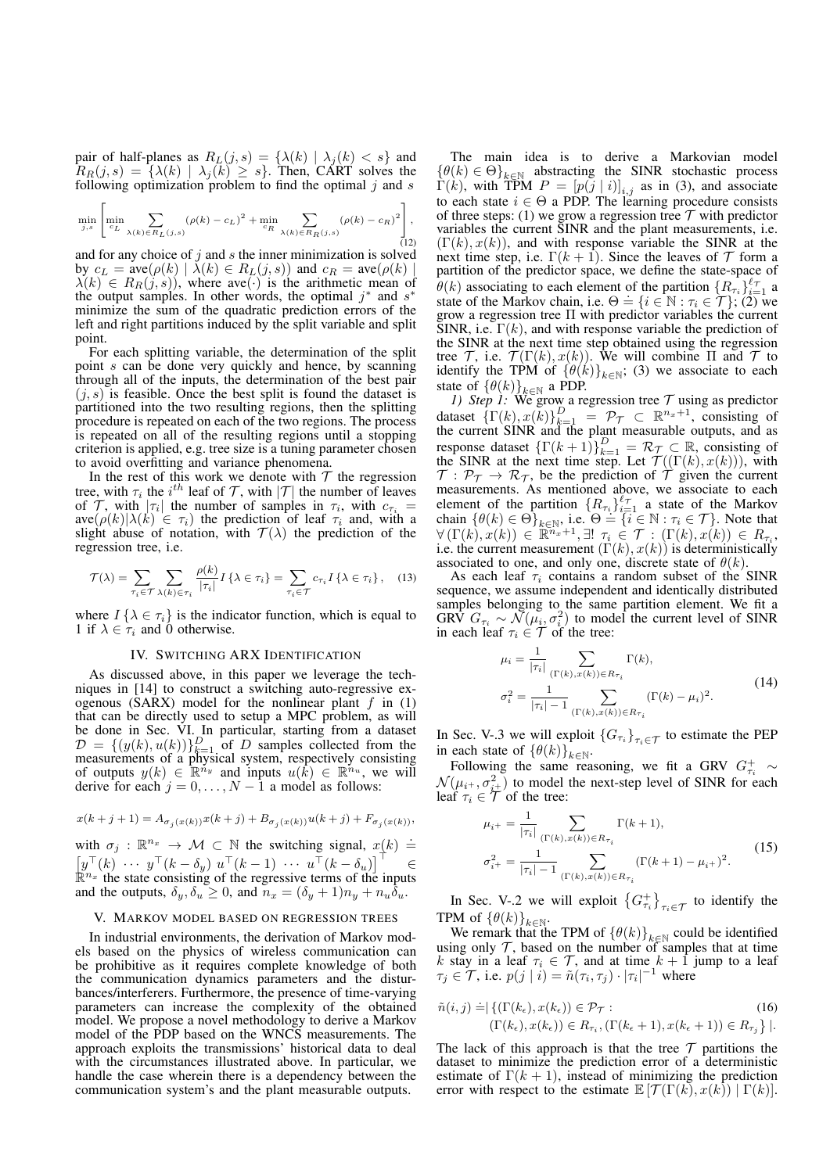pair of half-planes as  $R_L(j, s) = \{ \lambda(k) | \lambda_j(k) < s \}$  and  $R_R(j,s) = \{\lambda(k) | \lambda_j(k) \geq s\}$ . Then, CART solves the following optimization problem to find the optimal  $j$  and  $s$ 

$$
\min_{j,s} \left[ \min_{c_L} \sum_{\lambda(k) \in R_L(j,s)} (\rho(k) - c_L)^2 + \min_{c_R} \sum_{\lambda(k) \in R_R(j,s)} (\rho(k) - c_R)^2 \right],
$$
 (12)

and for any choice of  $i$  and  $s$  the inner minimization is solved by  $c_L = \text{ave}(\rho(k) | \lambda(k) \in R_L(j, s))$  and  $c_R = \text{ave}(\rho(k) |$  $\lambda(k) \in R_R(j, s)$ , where ave(·) is the arithmetic mean of the output samples. In other words, the optimal  $j^*$  and  $s^*$ minimize the sum of the quadratic prediction errors of the left and right partitions induced by the split variable and split point.

For each splitting variable, the determination of the split point s can be done very quickly and hence, by scanning through all of the inputs, the determination of the best pair  $(j, s)$  is feasible. Once the best split is found the dataset is partitioned into the two resulting regions, then the splitting procedure is repeated on each of the two regions. The process is repeated on all of the resulting regions until a stopping criterion is applied, e.g. tree size is a tuning parameter chosen to avoid overfitting and variance phenomena.

In the rest of this work we denote with  $\mathcal T$  the regression tree, with  $\tau_i$  the  $i^{th}$  leaf of  $\mathcal T$ , with  $|\mathcal T|$  the number of leaves of  $\mathcal{T}$ , with  $|\tau_i|$  the number of samples in  $\tau_i$ , with  $c_{\tau_i}$  =  $ave(\rho(k)|\lambda(k) \in \tau_i)$  the prediction of leaf  $\tau_i$  and, with a slight abuse of notation, with  $T(\lambda)$  the prediction of the regression tree, i.e.

$$
\mathcal{T}(\lambda) = \sum_{\tau_i \in \mathcal{T}} \sum_{\lambda(k) \in \tau_i} \frac{\rho(k)}{|\tau_i|} I\{\lambda \in \tau_i\} = \sum_{\tau_i \in \mathcal{T}} c_{\tau_i} I\{\lambda \in \tau_i\}, \quad (13)
$$

where  $I\{\lambda \in \tau_i\}$  is the indicator function, which is equal to 1 if  $\lambda \in \tau_i$  and 0 otherwise.

# IV. SWITCHING ARX IDENTIFICATION

As discussed above, in this paper we leverage the techniques in [14] to construct a switching auto-regressive exogenous (SARX) model for the nonlinear plant  $f$  in (1) that can be directly used to setup a MPC problem, as will be done in Sec. VI. In particular, starting from a dataset  $D = \{(y(k), u(k))\}_{k=1}^D$  of D samples collected from the measurements of a physical system, respectively consisting of outputs  $y(k) \in \mathbb{R}^{n_y}$  and inputs  $u(k) \in \mathbb{R}^{n_u}$ , we will derive for each  $j = 0, \ldots, N - 1$  a model as follows:

$$
x(k + j + 1) = A_{\sigma_j(x(k))}x(k + j) + B_{\sigma_j(x(k))}u(k + j) + F_{\sigma_j(x(k))},
$$

with  $\sigma_j : \mathbb{R}^{n_x} \to \mathcal{M} \subset \mathbb{N}$  the switching signal,  $x(k) \doteq$  $\left[y^{\top}(k) \cdots y^{\top}(k-\delta_{y}) \ u^{\top}(k-1) \cdots u^{\top}(k-\delta_{u})\right]^{\top} \in$  $\mathbb{R}^{n_x}$  the state consisting of the regressive terms of the inputs and the outputs,  $\delta_u$ ,  $\delta_u \geq 0$ , and  $n_x = (\delta_u + 1)n_u + n_u \delta_u$ .

## V. MARKOV MODEL BASED ON REGRESSION TREES

In industrial environments, the derivation of Markov models based on the physics of wireless communication can be prohibitive as it requires complete knowledge of both the communication dynamics parameters and the disturbances/interferers. Furthermore, the presence of time-varying parameters can increase the complexity of the obtained model. We propose a novel methodology to derive a Markov model of the PDP based on the WNCS measurements. The approach exploits the transmissions' historical data to deal with the circumstances illustrated above. In particular, we handle the case wherein there is a dependency between the communication system's and the plant measurable outputs.

The main idea is to derive a Markovian model  $\{\theta(k) \in \Theta\}_{k \in \mathbb{N}}$  abstracting the SINR stochastic process  $\Gamma(k)$ , with TPM  $P = [p(j | i)]_{i,j}$  as in (3), and associate to each state  $i \in \Theta$  a PDP. The learning procedure consists of three steps: (1) we grow a regression tree  $T$  with predictor variables the current SINR and the plant measurements, i.e.  $(\Gamma(k), x(k))$ , and with response variable the SINR at the next time step, i.e.  $\Gamma(k+1)$ . Since the leaves of  $\mathcal T$  form a partition of the predictor space, we define the state-space of  $\hat{\theta}(k)$  associating to each element of the partition  $\{R_{\tau_i}\}_{i=1}^{\ell_{\tau}}$  a  $\mathcal{O}(\kappa)$  associating to each element of the partition  $\{n_{\tau_i}\}_{i=1}^{\tau_i}$  as state of the Markov chain, i.e.  $\Theta = \{i \in \mathbb{N} : \tau_i \in \mathcal{T}\}\;$ ; (2) we grow a regression tree Π with predictor variables the current  $\text{SINR},$  i.e.  $\Gamma(k)$ , and with response variable the prediction of the SINR at the next time step obtained using the regression tree  $\mathcal{T}$ , i.e.  $\mathcal{T}(\Gamma(k), x(k))$ . We will combine  $\Pi$  and  $\mathcal{T}$  to identify the TPM of  $\{\theta(k)\}_{k\in\mathbb{N}}$ ; (3) we associate to each state of  $\{\theta(k)\}_{k\in\mathbb{N}}$  a PDP.

*1)* Step 1: We grow a regression tree  $\tau$  using as predictor dataset  $\{\Gamma(k), x(k)\}_{k=1}^D = \mathcal{P}_{\mathcal{T}} \subset \mathbb{R}^{n_x+1}$ , consisting of the current SINR and the plant measurable outputs, and as response dataset  $\{\Gamma(k+1)\}_{k=1}^D = \mathcal{R}_{\mathcal{T}} \subset \mathbb{R}$ , consisting of the SINR at the next time step. Let  $\mathcal{T}((\Gamma(k), x(k)))$ , with  $T: \mathcal{P}_T \to \mathcal{R}_T$ , be the prediction of  $\tilde{T}$  given the current measurements. As mentioned above, we associate to each element of the partition  $\{R_{\tau_i}\}_{i=1}^{\ell_{\tau}}$  a state of the Markov chain  $\{\theta(k) \in \Theta\}_{k \in \mathbb{N}}$ , i.e.  $\Theta = \{i \in \mathbb{N} : \tau_i \in \mathcal{T}\}$ . Note that  $\forall (\Gamma(k), x(k)) \in \mathbb{R}^{n_x+1}, \exists! \; \tau_i \in \mathcal{T} : (\Gamma(k), x(k)) \in R_{\tau_i},$ i.e. the current measurement  $(\Gamma(k), x(k))$  is deterministically associated to one, and only one, discrete state of  $\theta(k)$ .

As each leaf  $\tau_i$  contains a random subset of the SINR sequence, we assume independent and identically distributed samples belonging to the same partition element. We fit a GRV  $G_{\tau_i} \sim \mathcal{N}(\mu_i, \sigma_i^2)$  to model the current level of SINR in each leaf  $\tau_i \in \mathcal{T}$  of the tree:

$$
\mu_{i} = \frac{1}{|\tau_{i}|} \sum_{(\Gamma(k), x(k)) \in R_{\tau_{i}}} \Gamma(k),
$$
\n
$$
\sigma_{i}^{2} = \frac{1}{|\tau_{i}| - 1} \sum_{(\Gamma(k), x(k)) \in R_{\tau_{i}}} (\Gamma(k) - \mu_{i})^{2}.
$$
\n(14)

In Sec. V-.3 we will exploit  $\{G_{\tau_i}\}_{\tau_i \in \mathcal{T}}$  to estimate the PEP in each state of  $\{\theta(k)\}_{k\in\mathbb{N}}$ .

Following the same reasoning, we fit a GRV  $G_{\tau_i}^+ \sim$  $\mathcal{N}(\mu_{i^+}, \sigma_{i^+}^2)$  to model the next-step level of SINR for each leaf  $\tau_i \in \mathcal{T}$  of the tree:

$$
\mu_{i^{+}} = \frac{1}{|\tau_{i}|} \sum_{(\Gamma(k), x(k)) \in R_{\tau_{i}}} \Gamma(k+1),
$$
  

$$
\sigma_{i^{+}}^{2} = \frac{1}{|\tau_{i}| - 1} \sum_{(\Gamma(k), x(k)) \in R_{\tau_{i}}} (\Gamma(k+1) - \mu_{i^{+}})^{2}.
$$
 (15)

In Sec. V-.2 we will exploit  $\{G_{\tau_i}^+\}_{\tau_i \in \mathcal{T}}$  to identify the TPM of  $\{\theta(k)\}_{k\in\mathbb{N}}$ .

We remark that the TPM of  $\{\theta(k)\}_{k\in\mathbb{N}}$  could be identified using only  $\mathcal T$ , based on the number of samples that at time k stay in a leaf  $\tau_i \in \mathcal{T}$ , and at time  $k+1$  jump to a leaf  $\tau_j \in \mathcal{T}$ , i.e.  $p(j \mid i) = \tilde{n}(\tau_i, \tau_j) \cdot |\tau_i|^{-1}$  where

$$
\tilde{n}(i,j) \stackrel{\cdot}{=} \left\{ \left( \Gamma(k_{\epsilon}), x(k_{\epsilon}) \right) \in \mathcal{P}_{\mathcal{T}} : \right. \\
 \left( \Gamma(k_{\epsilon}), x(k_{\epsilon}) \right) \in R_{\tau_i}, \left( \Gamma(k_{\epsilon}+1), x(k_{\epsilon}+1) \right) \in R_{\tau_j} \right\} \right\}.
$$
\n(16)

The lack of this approach is that the tree  $\mathcal T$  partitions the dataset to minimize the prediction error of a deterministic estimate of  $\Gamma(k + 1)$ , instead of minimizing the prediction error with respect to the estimate  $\mathbb{E}[\mathcal{T}(\Gamma(k), x(k)) | \Gamma(k)]$ .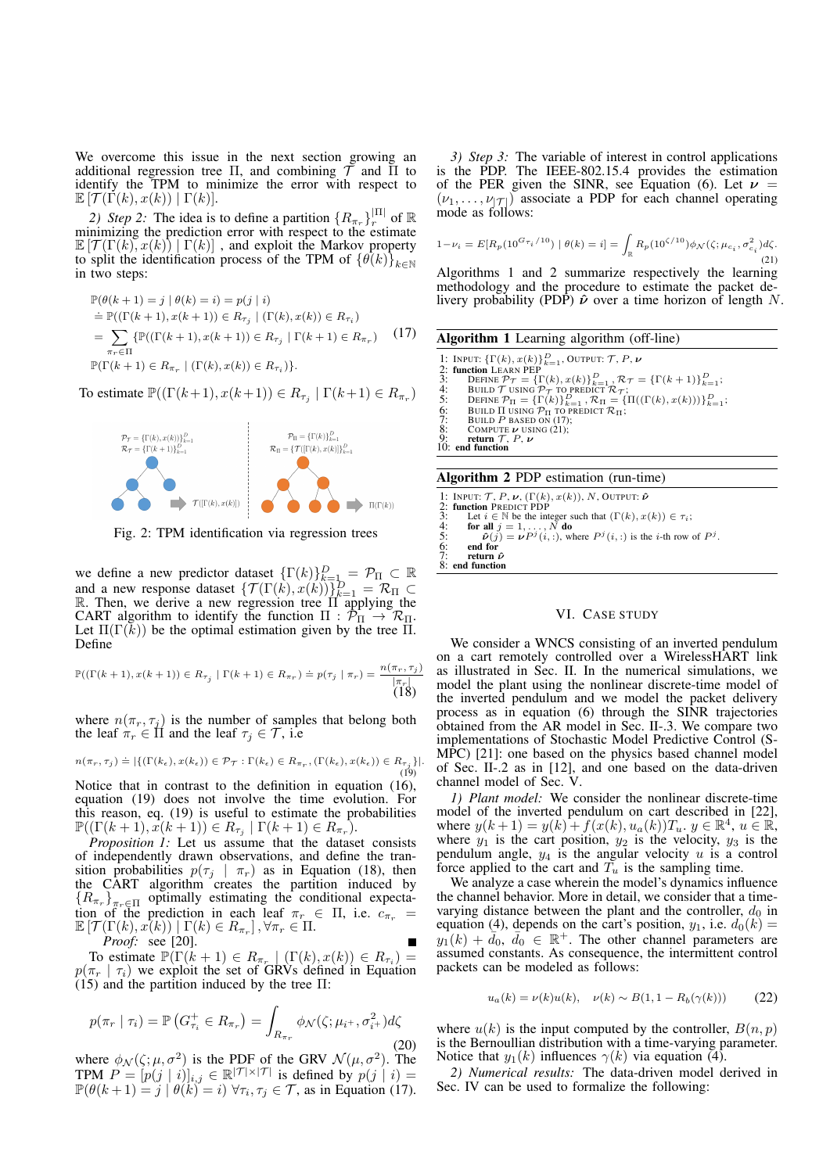We overcome this issue in the next section growing an additional regression tree Π, and combining  $\tilde{\mathcal{T}}$  and  $\overline{\Pi}$  to identify the TPM to minimize the error with respect to  $\mathbb{E} \left[ \mathcal{T}(\Gamma(k), x(k)) \mid \Gamma(k) \right].$ 

2) Step 2: The idea is to define a partition  $\{R_{\pi_r}\}_{r}^{|\Pi|}$  of  $\mathbb R$ minimizing the prediction error with respect to the estimate  $\mathbb{E}[\mathcal{T}(\Gamma(k), x(k)) | \Gamma(k)]$ , and exploit the Markov property to split the identification process of the TPM of  $\{\theta(k)\}_{k\in\mathbb{N}}$ in two steps:

$$
\mathbb{P}(\theta(k+1) = j | \theta(k) = i) = p(j | i)
$$
\n
$$
\begin{aligned}\n&= \mathbb{P}((\Gamma(k+1), x(k+1)) \in R_{\tau_j} | (\Gamma(k), x(k)) \in R_{\tau_i}) \\
&= \sum_{\pi_r \in \Pi} \{ \mathbb{P}((\Gamma(k+1), x(k+1)) \in R_{\tau_j} | \Gamma(k+1) \in R_{\pi_r}) \quad (17) \\
&\mathbb{P}(\Gamma(k+1) \in R_{\pi_r} | (\Gamma(k), x(k)) \in R_{\tau_i}) \}.\n\end{aligned}
$$

To estimate  $\mathbb{P}((\Gamma(k+1), x(k+1)) \in R_{\tau_j} \mid \Gamma(k+1) \in R_{\pi_r})$ 



Fig. 2: TPM identification via regression trees

we define a new predictor dataset  $\{\Gamma(k)\}_{k=1}^D = \mathcal{P}_{\Pi} \subset \mathbb{R}$ and a new response dataset  $\{\mathcal{T}(\Gamma(k), x(k))\}_{k=1}^D = \mathcal{R}_{\Pi} \subset$ R. Then, we derive a new regression tree  $\Pi$  applying the CART algorithm to identify the function  $\Pi : \overline{\mathcal{P}}_{\Pi} \to \mathcal{R}_{\Pi}$ . Let  $\Pi(\Gamma(k))$  be the optimal estimation given by the tree  $\Pi$ . Define

$$
\mathbb{P}((\Gamma(k+1), x(k+1)) \in R_{\tau_j} \mid \Gamma(k+1) \in R_{\pi_r}) \doteq p(\tau_j \mid \pi_r) = \frac{n(\pi_r, \tau_j)}{|\pi_r|} \tag{18}
$$

where  $n(\pi_r, \tau_j)$  is the number of samples that belong both the leaf  $\pi_r \in \Pi$  and the leaf  $\tau_j \in \mathcal{T}$ , i.e

$$
n(\pi_r, \tau_j) \doteq |\{ (\Gamma(k_\epsilon), x(k_\epsilon)) \in \mathcal{P}_{\mathcal{T}} : \Gamma(k_\epsilon) \in R_{\pi_r}, (\Gamma(k_\epsilon), x(k_\epsilon)) \in R_{\pi_j} \}|.
$$
\n(19)

Notice that in contrast to the definition in equation (16), equation (19) does not involve the time evolution. For this reason, eq. (19) is useful to estimate the probabilities  $\mathbb{P}((\Gamma(k+1), x(k+1)) \in R_{\tau_j} \mid \Gamma(k+1) \in R_{\pi_r}).$ 

*Proposition 1:* Let us assume that the dataset consists of independently drawn observations, and define the transition probabilities  $p(\tau_j | \pi_r)$  as in Equation (18), then the CART algorithm creates the partition induced by  ${R_{\pi_r}}_{\pi_r \in \Pi}$  optimally estimating the conditional expectation of the prediction in each leaf  $\pi_r \in \Pi$ , i.e.  $c_{\pi_r}$  =  $\mathbb{E}\left[\mathcal{T}(\Gamma(k),x(k))\mid \Gamma(k)\in R_{\pi_r}\right], \forall \pi_r\in\Pi.$ *Proof:* see [20].

To estimate  $\mathbb{P}(\Gamma(k+1) \in R_{\pi_r} \mid (\Gamma(k), x(k)) \in R_{\tau_i}) =$  $p(\pi_r | \tau_i)$  we exploit the set of GRVs defined in Equation  $(15)$  and the partition induced by the tree  $\Pi$ :

$$
p(\pi_r \mid \tau_i) = \mathbb{P}\left(G_{\tau_i}^+ \in R_{\pi_r}\right) = \int_{R_{\pi_r}} \phi_{\mathcal{N}}(\zeta; \mu_{i^+}, \sigma_{i^+}^2) d\zeta \tag{20}
$$

where  $\phi_{\mathcal{N}}(\zeta;\mu,\sigma^2)$  is the PDF of the GRV  $\mathcal{N}(\mu,\sigma^2)$ . The TPM  $P = [p(j | i)]_{i,j} \in \mathbb{R}^{|\mathcal{T}| \times |\mathcal{T}|}$  is defined by  $p(j | i) =$  $\mathbb{P}(\theta(k+1) = j \mid \theta(k) = i)$   $\forall \tau_i, \tau_j \in \mathcal{T}$ , as in Equation (17).

*3) Step 3:* The variable of interest in control applications is the PDP. The IEEE-802.15.4 provides the estimation of the PER given the SINR, see Equation (6). Let  $\nu =$  $(\nu_1, \ldots, \nu_{|\mathcal{T}|})$  associate a PDP for each channel operating mode as follows:

$$
1 - \nu_i = E[R_p(10^{G_{\tau_i}/10}) \mid \theta(k) = i] = \int_{\mathbb{R}} R_p(10^{\zeta/10}) \phi_N(\zeta; \mu_{c_i}, \sigma_{c_i}^2) d\zeta.
$$
\n(21)

Algorithms 1 and 2 summarize respectively the learning methodology and the procedure to estimate the packet delivery probability (PDP)  $\hat{\nu}$  over a time horizon of length N.

# Algorithm 1 Learning algorithm (off-line)

1: INPUT:  $\{\Gamma(k), x(k)\}_{k=1}^D$ , OUTPUT:  $\mathcal{T}, P, \nu$ 2: function LEARN PEP<br>
3: DEFINE  $\mathcal{P}_{\mathcal{T}} = \{ \Gamma(k), x(k) \}_{k=1}^D$ ,  $\mathcal{R}_{\mathcal{T}} = \{ \Gamma(k+1) \}_{k=1}^D$ ;<br>
3: BUILD  $\mathcal{T}$  USING  $\mathcal{P}_{\mathcal{T}}$  to PREDICT  $\mathcal{R}_{\mathcal{T}}$ ;<br>
5: DEFINE  $\mathcal{P}_{\Pi} = \{ \Gamma(k) \}_{k=1}^D$ ,  $\mathcal{R}_{\Pi} = \{ \Pi((\Gamma(k),$ 8: COMPUTE  $\nu$  USING (21);<br>9: **return**  $\mathcal{T}, P, \nu$ 10: end function

## Algorithm 2 PDP estimation (run-time)

1: INPUT:  $\mathcal{T}, P, \nu$ ,  $(\Gamma(k), x(k)), N$ , OUTPUT:  $\hat{\nu}$ <br>2: **function** PREDICT PDP<br>3: Let  $i \in \mathbb{N}$  be the integer such that  $(\Gamma(k), x(k)) \in \tau_i$ ; 4: **for all**  $j = 1, ..., N$  **do**<br>5:  $\hat{\nu}(j) = \nu P^{j}(i, :)$ , where  $P^{j}(i, :)$  is the *i*-th row of  $P^{j}$ . 6: end for<br>7: return  $\hat{\nu}$ <br>8: end function

## VI. CASE STUDY

We consider a WNCS consisting of an inverted pendulum on a cart remotely controlled over a WirelessHART link as illustrated in Sec. II. In the numerical simulations, we model the plant using the nonlinear discrete-time model of the inverted pendulum and we model the packet delivery process as in equation (6) through the SINR trajectories obtained from the AR model in Sec. II-.3. We compare two implementations of Stochastic Model Predictive Control (S-MPC) [21]: one based on the physics based channel model of Sec. II-.2 as in [12], and one based on the data-driven channel model of Sec. V.

*1) Plant model:* We consider the nonlinear discrete-time model of the inverted pendulum on cart described in [22], where  $y(k+1) = y(k) + f(x(k), u_a(k))T_u$ ,  $y \in \mathbb{R}^4$ ,  $u \in \mathbb{R}^4$ , where  $y_1$  is the cart position,  $y_2$  is the velocity,  $y_3$  is the pendulum angle,  $y_4$  is the angular velocity u is a control force applied to the cart and  $\overline{T}_u$  is the sampling time.

We analyze a case wherein the model's dynamics influence the channel behavior. More in detail, we consider that a timevarying distance between the plant and the controller,  $d_0$  in equation (4), depends on the cart's position,  $y_1$ , i.e.  $d_0(k)$  =  $y_1(k) + \overline{d}_0, \overline{d}_0 \in \mathbb{R}^+$ . The other channel parameters are assumed constants. As consequence, the intermittent control packets can be modeled as follows:

$$
u_a(k) = \nu(k)u(k), \quad \nu(k) \sim B(1, 1 - R_b(\gamma(k))) \tag{22}
$$

where  $u(k)$  is the input computed by the controller,  $B(n, p)$ is the Bernoullian distribution with a time-varying parameter. Notice that  $y_1(k)$  influences  $\gamma(k)$  via equation (4).

*2) Numerical results:* The data-driven model derived in Sec. IV can be used to formalize the following: